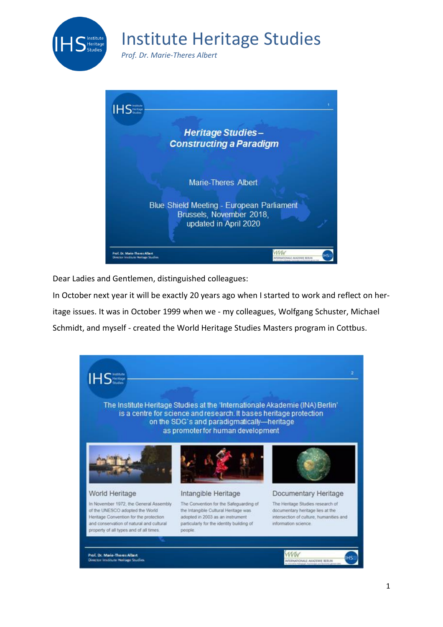

*Prof. Dr. Marie-Theres Albert*



Dear Ladies and Gentlemen, distinguished colleagues:

In October next year it will be exactly 20 years ago when I started to work and reflect on her-

itage issues. It was in October 1999 when we - my colleagues, Wolfgang Schuster, Michael

Schmidt, and myself - created the World Heritage Studies Masters program in Cottbus.

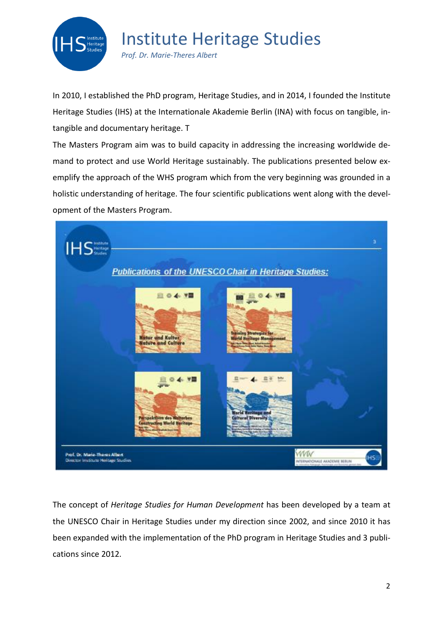

*Prof. Dr. Marie-Theres Albert*

In 2010, I established the PhD program, Heritage Studies, and in 2014, I founded the Institute Heritage Studies (IHS) at the Internationale Akademie Berlin (INA) with focus on tangible, intangible and documentary heritage. T

The Masters Program aim was to build capacity in addressing the increasing worldwide demand to protect and use World Heritage sustainably. The publications presented below exemplify the approach of the WHS program which from the very beginning was grounded in a holistic understanding of heritage. The four scientific publications went along with the development of the Masters Program.



The concept of *Heritage Studies for Human Development* has been developed by a team at the UNESCO Chair in Heritage Studies under my direction since 2002, and since 2010 it has been expanded with the implementation of the PhD program in Heritage Studies and 3 publications since 2012.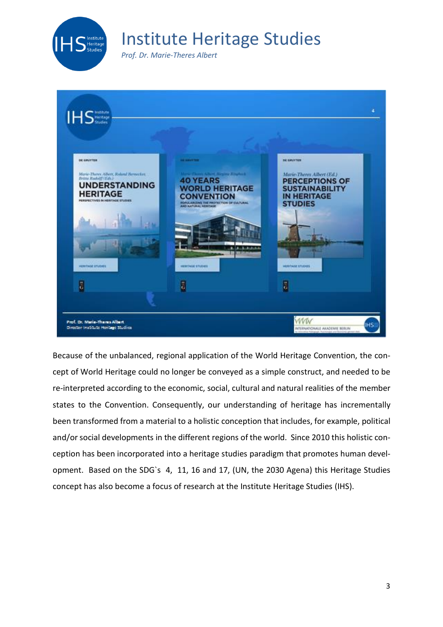

*Prof. Dr. Marie-Theres Albert*



Because of the unbalanced, regional application of the World Heritage Convention, the concept of World Heritage could no longer be conveyed as a simple construct, and needed to be re-interpreted according to the economic, social, cultural and natural realities of the member states to the Convention. Consequently, our understanding of heritage has incrementally been transformed from a material to a holistic conception that includes, for example, political and/or social developments in the different regions of the world. Since 2010 this holistic conception has been incorporated into a heritage studies paradigm that promotes human development. Based on the SDG`s 4, 11, 16 and 17, (UN, the 2030 Agena) this Heritage Studies concept has also become a focus of research at the Institute Heritage Studies (IHS).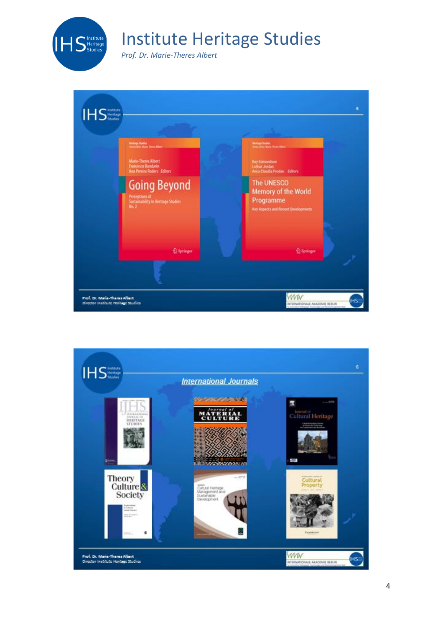

*Prof. Dr. Marie-Theres Albert*



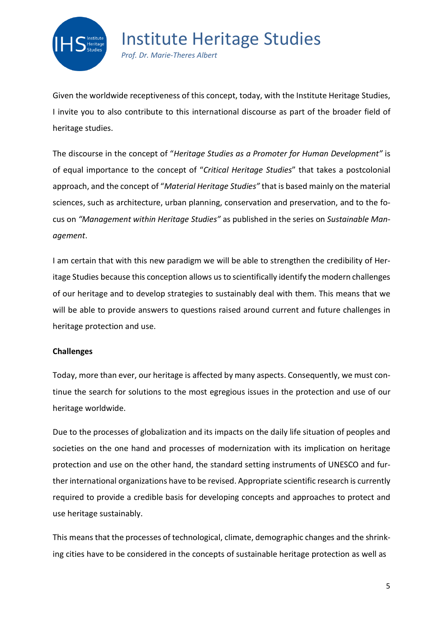

*Prof. Dr. Marie-Theres Albert*

Given the worldwide receptiveness of this concept, today, with the Institute Heritage Studies, I invite you to also contribute to this international discourse as part of the broader field of heritage studies.

The discourse in the concept of "*Heritage Studies as a Promoter for Human Development"* is of equal importance to the concept of "*Critical Heritage Studies*" that takes a postcolonial approach, and the concept of "*Material Heritage Studies"* that is based mainly on the material sciences, such as architecture, urban planning, conservation and preservation, and to the focus on *"Management within Heritage Studies"* as published in the series on *Sustainable Management*.

I am certain that with this new paradigm we will be able to strengthen the credibility of Heritage Studies because this conception allows us to scientifically identify the modern challenges of our heritage and to develop strategies to sustainably deal with them. This means that we will be able to provide answers to questions raised around current and future challenges in heritage protection and use.

### **Challenges**

Today, more than ever, our heritage is affected by many aspects. Consequently, we must continue the search for solutions to the most egregious issues in the protection and use of our heritage worldwide.

Due to the processes of globalization and its impacts on the daily life situation of peoples and societies on the one hand and processes of modernization with its implication on heritage protection and use on the other hand, the standard setting instruments of UNESCO and further international organizations have to be revised. Appropriate scientific research is currently required to provide a credible basis for developing concepts and approaches to protect and use heritage sustainably.

This means that the processes of technological, climate, demographic changes and the shrinking cities have to be considered in the concepts of sustainable heritage protection as well as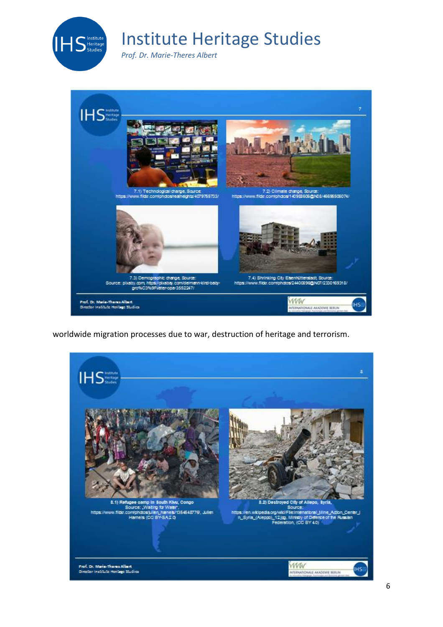

*Prof. Dr. Marie-Theres Albert*



worldwide migration processes due to war, destruction of heritage and terrorism.

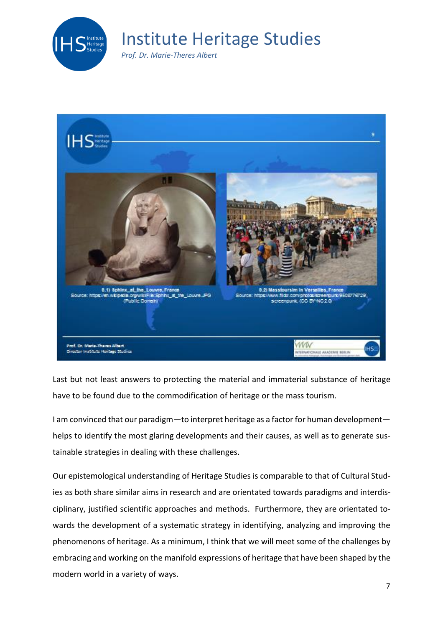

*Prof. Dr. Marie-Theres Albert*



Last but not least answers to protecting the material and immaterial substance of heritage have to be found due to the commodification of heritage or the mass tourism.

I am convinced that our paradigm—to interpret heritage as a factor for human development helps to identify the most glaring developments and their causes, as well as to generate sustainable strategies in dealing with these challenges.

Our epistemological understanding of Heritage Studies is comparable to that of Cultural Studies as both share similar aims in research and are orientated towards paradigms and interdisciplinary, justified scientific approaches and methods. Furthermore, they are orientated towards the development of a systematic strategy in identifying, analyzing and improving the phenomenons of heritage. As a minimum, I think that we will meet some of the challenges by embracing and working on the manifold expressions of heritage that have been shaped by the modern world in a variety of ways.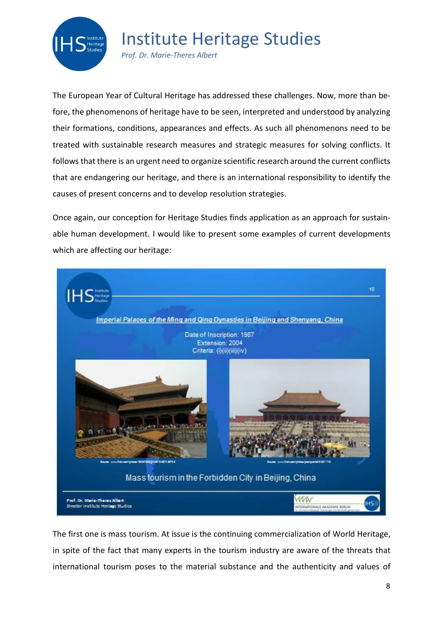

*Prof. Dr. Marie-Theres Albert*

The European Year of Cultural Heritage has addressed these challenges. Now, more than before, the phenomenons of heritage have to be seen, interpreted and understood by analyzing their formations, conditions, appearances and effects. As such all phenomenons need to be treated with sustainable research measures and strategic measures for solving conflicts. It follows that there is an urgent need to organize scientific research around the current conflicts that are endangering our heritage, and there is an international responsibility to identify the causes of present concerns and to develop resolution strategies.

Once again, our conception for Heritage Studies finds application as an approach for sustainable human development. I would like to present some examples of current developments which are affecting our heritage:



The first one is mass tourism. At issue is the continuing commercialization of World Heritage, in spite of the fact that many experts in the tourism industry are aware of the threats that international tourism poses to the material substance and the authenticity and values of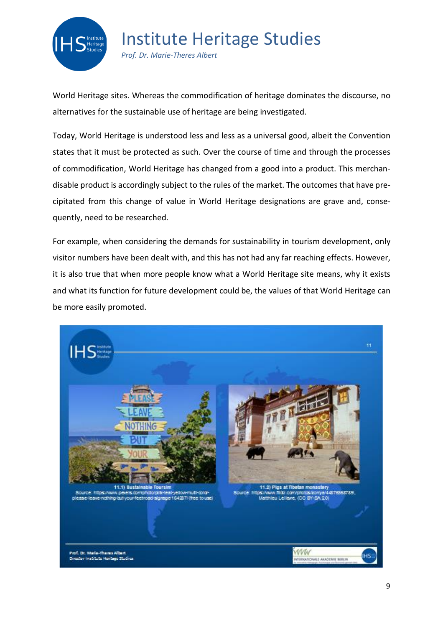

*Prof. Dr. Marie-Theres Albert*

World Heritage sites. Whereas the commodification of heritage dominates the discourse, no alternatives for the sustainable use of heritage are being investigated.

Today, World Heritage is understood less and less as a universal good, albeit the Convention states that it must be protected as such. Over the course of time and through the processes of commodification, World Heritage has changed from a good into a product. This merchandisable product is accordingly subject to the rules of the market. The outcomes that have precipitated from this change of value in World Heritage designations are grave and, consequently, need to be researched.

For example, when considering the demands for sustainability in tourism development, only visitor numbers have been dealt with, and this has not had any far reaching effects. However, it is also true that when more people know what a World Heritage site means, why it exists and what its function for future development could be, the values of that World Heritage can be more easily promoted.

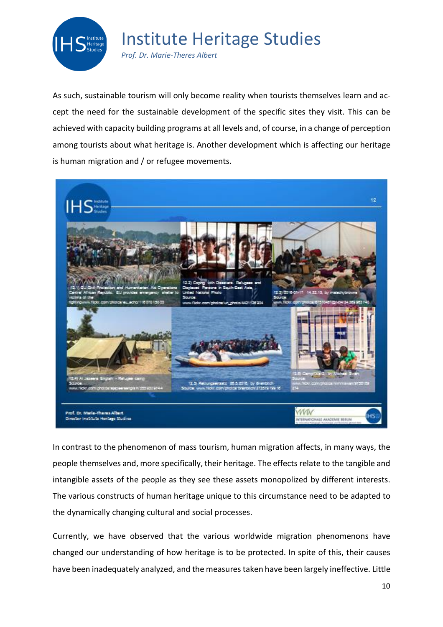

*Prof. Dr. Marie-Theres Albert*

As such, sustainable tourism will only become reality when tourists themselves learn and accept the need for the sustainable development of the specific sites they visit. This can be achieved with capacity building programs at all levels and, of course, in a change of perception among tourists about what heritage is. Another development which is affecting our heritage is human migration and / or refugee movements.



In contrast to the phenomenon of mass tourism, human migration affects, in many ways, the people themselves and, more specifically, their heritage. The effects relate to the tangible and intangible assets of the people as they see these assets monopolized by different interests. The various constructs of human heritage unique to this circumstance need to be adapted to the dynamically changing cultural and social processes.

Currently, we have observed that the various worldwide migration phenomenons have changed our understanding of how heritage is to be protected. In spite of this, their causes have been inadequately analyzed, and the measures taken have been largely ineffective. Little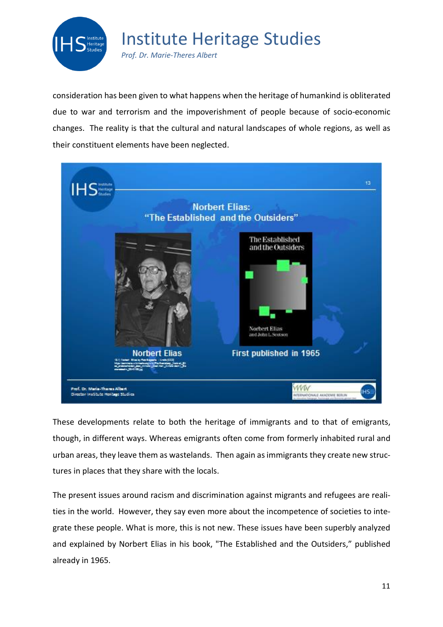

*Prof. Dr. Marie-Theres Albert*

consideration has been given to what happens when the heritage of humankind is obliterated due to war and terrorism and the impoverishment of people because of socio-economic changes. The reality is that the cultural and natural landscapes of whole regions, as well as their constituent elements have been neglected.



These developments relate to both the heritage of immigrants and to that of emigrants, though, in different ways. Whereas emigrants often come from formerly inhabited rural and urban areas, they leave them as wastelands. Then again asimmigrants they create new structures in places that they share with the locals.

The present issues around racism and discrimination against migrants and refugees are realities in the world. However, they say even more about the incompetence of societies to integrate these people. What is more, this is not new. These issues have been superbly analyzed and explained by Norbert Elias in his book, "The Established and the Outsiders," published already in 1965.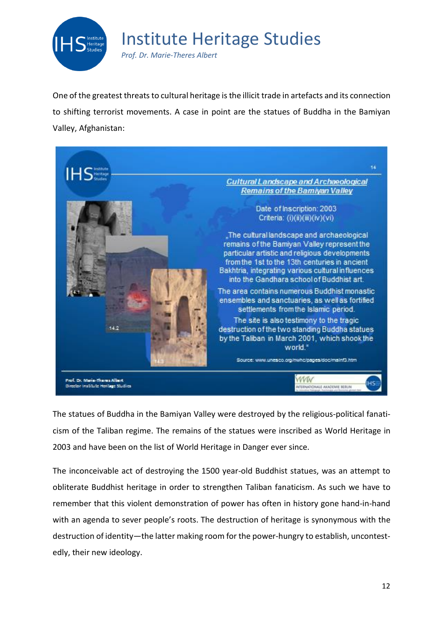

*Prof. Dr. Marie-Theres Albert*

One of the greatest threats to cultural heritage isthe illicit trade in artefacts and its connection to shifting terrorist movements. A case in point are the statues of Buddha in the Bamiyan Valley, Afghanistan:



The statues of Buddha in the Bamiyan Valley were destroyed by the religious-political fanaticism of the Taliban regime. The remains of the statues were inscribed as World Heritage in 2003 and have been on the list of World Heritage in Danger ever since.

The inconceivable act of destroying the 1500 year-old Buddhist statues, was an attempt to obliterate Buddhist heritage in order to strengthen Taliban fanaticism. As such we have to remember that this violent demonstration of power has often in history gone hand-in-hand with an agenda to sever people's roots. The destruction of heritage is synonymous with the destruction of identity—the latter making room for the power-hungry to establish, uncontestedly, their new ideology.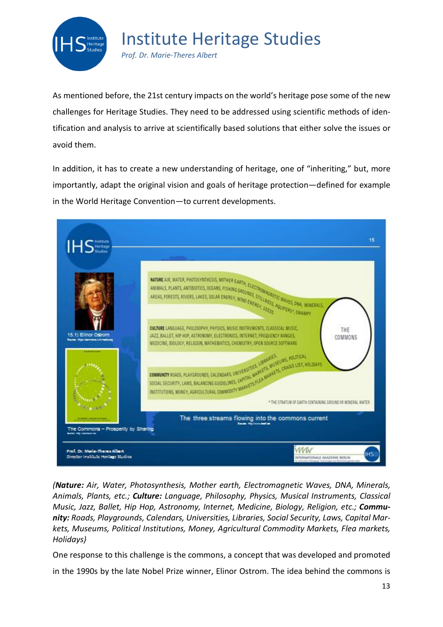

*Prof. Dr. Marie-Theres Albert*

As mentioned before, the 21st century impacts on the world's heritage pose some of the new challenges for Heritage Studies. They need to be addressed using scientific methods of identification and analysis to arrive at scientifically based solutions that either solve the issues or avoid them.

In addition, it has to create a new understanding of heritage, one of "inheriting," but, more importantly, adapt the original vision and goals of heritage protection—defined for example in the World Heritage Convention—to current developments.



*(Nature: Air, Water, Photosynthesis, Mother earth, Electromagnetic Waves, DNA, Minerals, Animals, Plants, etc.; Culture: Language, Philosophy, Physics, Musical Instruments, Classical Music, Jazz, Ballet, Hip Hop, Astronomy, Internet, Medicine, Biology, Religion, etc.; Community: Roads, Playgrounds, Calendars, Universities, Libraries, Social Security, Laws, Capital Markets, Museums, Political Institutions, Money, Agricultural Commodity Markets, Flea markets, Holidays)*

One response to this challenge is the commons, a concept that was developed and promoted

in the 1990s by the late Nobel Prize winner, Elinor Ostrom. The idea behind the commons is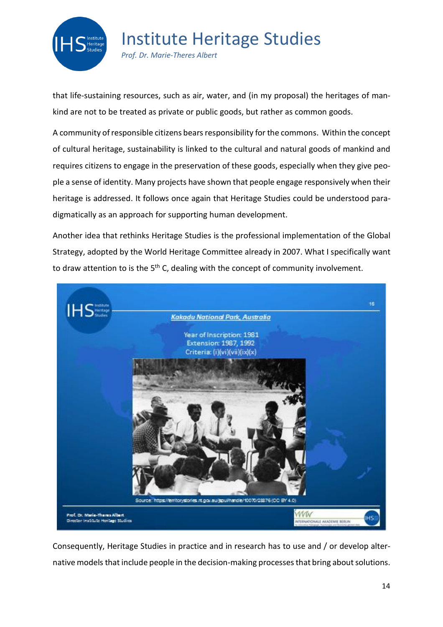

*Prof. Dr. Marie-Theres Albert*

that life-sustaining resources, such as air, water, and (in my proposal) the heritages of mankind are not to be treated as private or public goods, but rather as common goods.

A community of responsible citizens bears responsibility for the commons. Within the concept of cultural heritage, sustainability is linked to the cultural and natural goods of mankind and requires citizens to engage in the preservation of these goods, especially when they give people a sense of identity. Many projects have shown that people engage responsively when their heritage is addressed. It follows once again that Heritage Studies could be understood paradigmatically as an approach for supporting human development.

Another idea that rethinks Heritage Studies is the professional implementation of the Global Strategy, adopted by the World Heritage Committee already in 2007. What I specifically want to draw attention to is the 5<sup>th</sup> C, dealing with the concept of community involvement.



Consequently, Heritage Studies in practice and in research has to use and / or develop alternative models that include people in the decision-making processes that bring about solutions.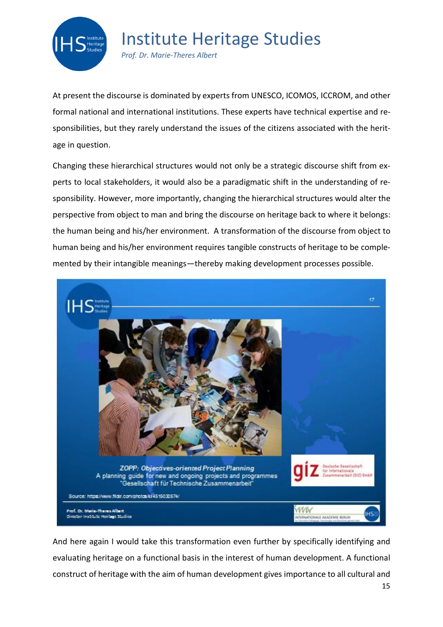

*Prof. Dr. Marie-Theres Albert*

At present the discourse is dominated by experts from UNESCO, ICOMOS, ICCROM, and other formal national and international institutions. These experts have technical expertise and responsibilities, but they rarely understand the issues of the citizens associated with the heritage in question.

Changing these hierarchical structures would not only be a strategic discourse shift from experts to local stakeholders, it would also be a paradigmatic shift in the understanding of responsibility. However, more importantly, changing the hierarchical structures would alter the perspective from object to man and bring the discourse on heritage back to where it belongs: the human being and his/her environment. A transformation of the discourse from object to human being and his/her environment requires tangible constructs of heritage to be complemented by their intangible meanings—thereby making development processes possible.



15 And here again I would take this transformation even further by specifically identifying and evaluating heritage on a functional basis in the interest of human development. A functional construct of heritage with the aim of human development gives importance to all cultural and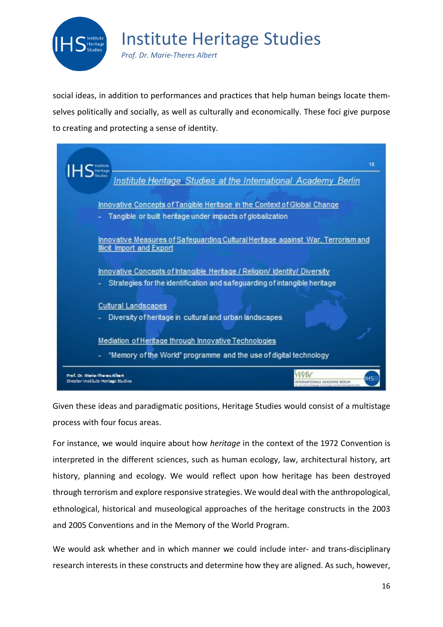

*Prof. Dr. Marie-Theres Albert*

social ideas, in addition to performances and practices that help human beings locate themselves politically and socially, as well as culturally and economically. These foci give purpose to creating and protecting a sense of identity.

18 Institute Heritage Studies at the International Academy Berlin Innovative Concepts of Tangible Heritage in the Context of Global Change - Tangible or built heritage under impacts of globalization Innovative Measures of Safequarding Cultural Heritage against War, Terrorismand **Illicit Import and Export** Innovative Concepts of Intangible Heritage / Religion/ Identity/ Diversity Strategies for the identification and safeguarding of intangible heritage **Cultural Landscapes** Diversity of heritage in cultural and urban landscapes Mediation of Heritage through Innovative Technologies "Memory of the World" programme and the use of digital technology www of, Dr. Maria-Thama Albart Director Institute Hentige Studies FONALE AKADEMIE BERLIN

Given these ideas and paradigmatic positions, Heritage Studies would consist of a multistage process with four focus areas.

For instance, we would inquire about how *heritage* in the context of the 1972 Convention is interpreted in the different sciences, such as human ecology, law, architectural history, art history, planning and ecology. We would reflect upon how heritage has been destroyed through terrorism and explore responsive strategies. We would deal with the anthropological, ethnological, historical and museological approaches of the heritage constructs in the 2003 and 2005 Conventions and in the Memory of the World Program.

We would ask whether and in which manner we could include inter- and trans-disciplinary research interests in these constructs and determine how they are aligned. As such, however,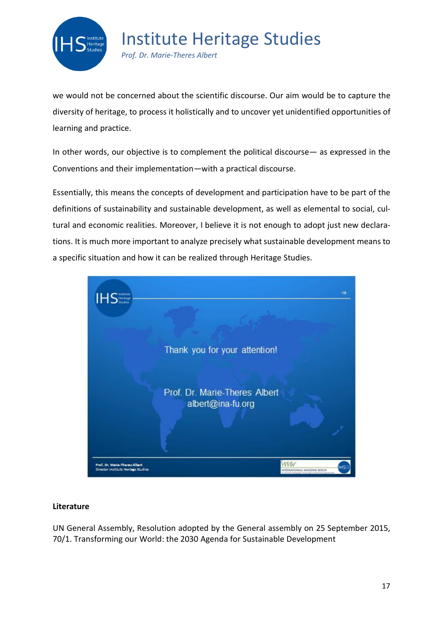

*Prof. Dr. Marie-Theres Albert*

we would not be concerned about the scientific discourse. Our aim would be to capture the diversity of heritage, to process it holistically and to uncover yet unidentified opportunities of learning and practice.

In other words, our objective is to complement the political discourse— as expressed in the Conventions and their implementation—with a practical discourse.

Essentially, this means the concepts of development and participation have to be part of the definitions of sustainability and sustainable development, as well as elemental to social, cultural and economic realities. Moreover, I believe it is not enough to adopt just new declarations. It is much more important to analyze precisely what sustainable development means to a specific situation and how it can be realized through Heritage Studies.



### **Literature**

UN General Assembly, Resolution adopted by the General assembly on 25 September 2015, 70/1. Transforming our World: the 2030 Agenda for Sustainable Development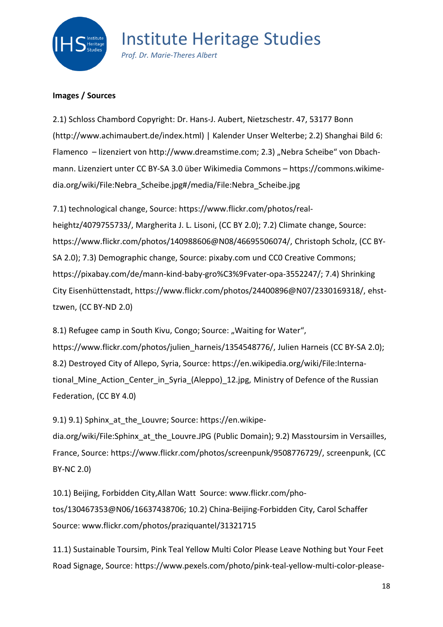

*Prof. Dr. Marie-Theres Albert*

### **Images / Sources**

2.1) Schloss Chambord Copyright: Dr. Hans-J. Aubert, Nietzschestr. 47, 53177 Bonn (http://www.achimaubert.de/index.html) | Kalender Unser Welterbe; 2.2) Shanghai Bild 6: Flamenco – lizenziert von http://www.dreamstime.com; 2.3) "Nebra Scheibe" von Dbachmann. Lizenziert unter CC BY-SA 3.0 über Wikimedia Commons – https://commons.wikimedia.org/wiki/File:Nebra\_Scheibe.jpg#/media/File:Nebra\_Scheibe.jpg

7.1) technological change, Source: https://www.flickr.com/photos/realheightz/4079755733/, Margherita J. L. Lisoni, (CC BY 2.0); 7.2) Climate change, Source: https://www.flickr.com/photos/140988606@N08/46695506074/, Christoph Scholz, (CC BY-SA 2.0); 7.3) Demographic change, Source: pixaby.com und CC0 Creative Commons; https://pixabay.com/de/mann-kind-baby-gro%C3%9Fvater-opa-3552247/; 7.4) Shrinking City Eisenhüttenstadt, https://www.flickr.com/photos/24400896@N07/2330169318/, ehsttzwen, (CC BY-ND 2.0)

8.1) Refugee camp in South Kivu, Congo; Source: "Waiting for Water", https://www.flickr.com/photos/julien\_harneis/1354548776/, Julien Harneis (CC BY-SA 2.0); 8.2) Destroyed City of Allepo, Syria, Source: https://en.wikipedia.org/wiki/File:International Mine Action Center in Syria (Aleppo) 12.jpg, Ministry of Defence of the Russian Federation, (CC BY 4.0)

9.1) 9.1) Sphinx at the Louvre; Source: https://en.wikipe-

dia.org/wiki/File:Sphinx at the Louvre.JPG (Public Domain); 9.2) Masstoursim in Versailles, France, Source: https://www.flickr.com/photos/screenpunk/9508776729/, screenpunk, (CC BY-NC 2.0)

10.1) Beijing, Forbidden City,Allan Watt Source: www.flickr.com/photos/130467353@N06/16637438706; 10.2) China-Beijing-Forbidden City, Carol Schaffer Source: www.flickr.com/photos/praziquantel/31321715

11.1) Sustainable Toursim, Pink Teal Yellow Multi Color Please Leave Nothing but Your Feet Road Signage, Source: https://www.pexels.com/photo/pink-teal-yellow-multi-color-please-